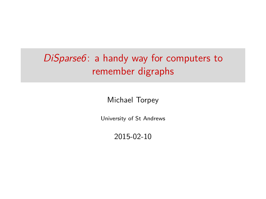## DiSparse6: a handy way for computers to remember digraphs

Michael Torpey

University of St Andrews

2015-02-10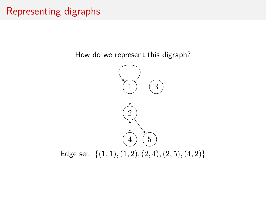#### Representing digraphs

How do we represent this digraph?

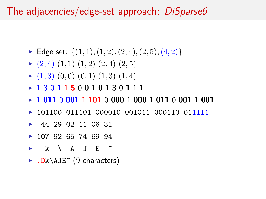The adjacencies/edge-set approach: DiSparse6

- Edge set:  $\{(1, 1), (1, 2), (2, 4), (2, 5), (4, 2)\}$
- $\blacktriangleright$  (2*,* 4) (1*,* 1) (1*,* 2) (2*,* 4) (2*,* 5)
- $\blacktriangleright$  (1, 3) (0, 0) (0, 1) (1, 3) (1, 4)
- <sup>I</sup> 1 **3** 0 **1** 1 **5** 0 **0** 1 **0** 1 **3** 0 **1** 1 **1**
- <sup>I</sup> 1 **011** 0 **001** 1 **101** 0 **000** 1 **000** 1 **011** 0 **001** 1 **001**
- ▶ 101100 011101 000010 001011 000110 011111
- $\blacktriangleright$  44 29 02 11 06 31
- $\blacktriangleright$  107 92 65 74 69 94
- $\triangleright$  k \ A J E ^
- $\blacktriangleright$  . Dk\AJE^ (9 characters)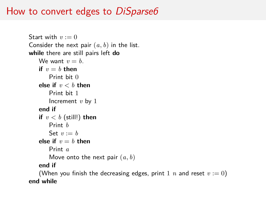#### How to convert edges to DiSparse6

```
Start with v := 0Consider the next pair (a, b) in the list.
while there are still pairs left do
   We want v = b.
   if v = b then
       Print bit 0
   else if v < b then
       Print bit 1
       Increment v by 1
   end if
   if v < b (still!) then
       Print b
       Set v := belse if v = b then
       Print a
       Move onto the next pair (a, b)
   end if
   (When you finish the decreasing edges, print 1 n and reset v := 0)
end while
```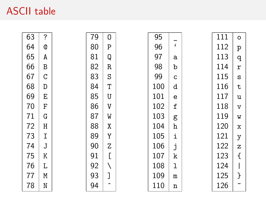# **ASCII** table

| 63 | ? | 79 | 0 | 95  |            | 111 | $\circ$        |
|----|---|----|---|-----|------------|-----|----------------|
| 64 | Q | 80 | P | 96  | $\epsilon$ | 112 | p              |
| 65 | A | 81 | Q | 97  | a          | 113 | q              |
| 66 | В | 82 | R | 98  | b          | 114 | r              |
| 67 | С | 83 | S | 99  | C          | 115 | S              |
| 68 | D | 84 | Τ | 100 | d          | 116 | t              |
| 69 | Ε | 85 | U | 101 | e          | 117 | u              |
| 70 | F | 86 | V | 102 | f          | 118 | $\overline{V}$ |
| 71 | G | 87 | W | 103 | g          | 119 | W              |
| 72 | Η | 88 | Χ | 104 | h          | 120 | X              |
| 73 | Ι | 89 | Υ | 105 | i          | 121 | у              |
| 74 | J | 90 | Ζ | 106 | j          | 122 | $\mathbf{z}$   |
| 75 | Κ | 91 | Г | 107 | k          | 123 | ſ              |
| 76 | L | 92 |   | 108 | 1          | 124 |                |
| 77 | Μ | 93 | ] | 109 | m          | 125 | }              |
| 78 | N | 94 | ∼ | 110 | n          | 126 | ~              |